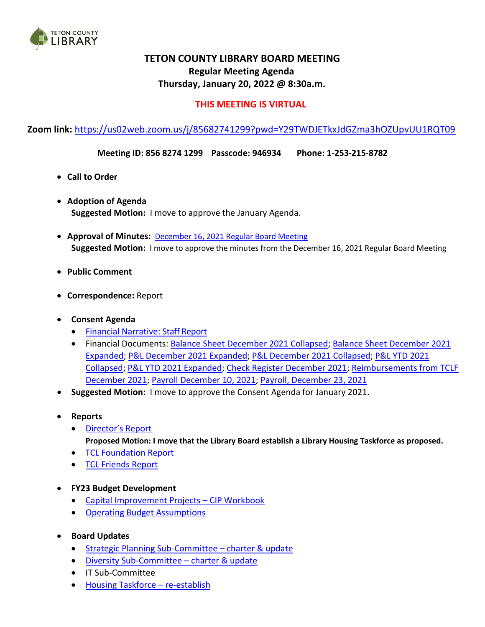

# **TETON COUNTY LIBRARY BOARD MEETING Regular Meeting Agenda Thursday, January 20, 2022 @ 8:30a.m.**

## **THIS MEETING IS VIRTUAL**

**Zoom link:** <https://us02web.zoom.us/j/85682741299?pwd=Y29TWDJETkxJdGZma3hOZUpvUU1RQT09>

**Meeting ID: 856 8274 1299 Passcode: 946934 Phone: 1-253-215-8782**

- **Call to Order**
- **Adoption of Agenda Suggested Motion:** I move to approve the January Agenda.
- **Approval of Minutes:** [December 16, 2021 Regular Board Meeting](https://wy-tetoncountylibrary.civicplus.com/DocumentCenter/View/2613/Minutes-December-16-2021) **Suggested Motion:** I move to approve the minutes from the December 16, 2021 Regular Board Meeting
- **Public Comment**
- **Correspondence:** Report
- **Consent Agenda**
	- Financial Narrative: [Staff Report](https://wy-tetoncountylibrary.civicplus.com/DocumentCenter/View/2616/Financial-Narrative-122021)
	- Financial Documents: [Balance Sheet December](https://wy-tetoncountylibrary.civicplus.com/DocumentCenter/View/2617/12312021-Collapsed-Balance-Sheet) 2021 Collapsed; [Balance Sheet December 2021](https://wy-tetoncountylibrary.civicplus.com/DocumentCenter/View/2618/12312021-Expanded-Balance-Sheet)  [Expanded;](https://wy-tetoncountylibrary.civicplus.com/DocumentCenter/View/2618/12312021-Expanded-Balance-Sheet) [P&L December 2021](https://wy-tetoncountylibrary.civicplus.com/DocumentCenter/View/2621/December-2021-expanded-Income-Statement-Budget-to-Actual) Expanded; P&L December [2021 Collapsed;](https://wy-tetoncountylibrary.civicplus.com/DocumentCenter/View/2622/December-2021-collapsed-Income-Statement-Budget-to-Actual) [P&L YTD 2021](https://wy-tetoncountylibrary.civicplus.com/DocumentCenter/View/2620/December-2021-collapsed-Fiscal-Year-Income-Statement-Budget-to-Actual) [Collapsed;](https://wy-tetoncountylibrary.civicplus.com/DocumentCenter/View/2620/December-2021-collapsed-Fiscal-Year-Income-Statement-Budget-to-Actual) [P&L YTD 2021 Expanded;](https://wy-tetoncountylibrary.civicplus.com/DocumentCenter/View/2619/December-2021-expandedFiscal-Year-Income-Statement-Budget-to-Actual) [Check Register December](https://wy-tetoncountylibrary.civicplus.com/DocumentCenter/View/2623/FIB-Check-Questions-12312021) 2021; [Reimbursements from TCLF](https://wy-tetoncountylibrary.civicplus.com/DocumentCenter/View/2624/Dec-FNDN-Final)  [December](https://wy-tetoncountylibrary.civicplus.com/DocumentCenter/View/2624/Dec-FNDN-Final) 2021; [Payroll December 10, 2021;](https://wy-tetoncountylibrary.civicplus.com/DocumentCenter/View/2625/121021-LIBRARY-PAYROLL) [Payroll, December 23, 2021](https://wy-tetoncountylibrary.civicplus.com/DocumentCenter/View/2626/122321-LIBRARY-PAYROLL)
- **Suggested Motion:** I move to approve the Consent Agenda for January 2021.
- **Reports**
	- [Director's](https://wy-tetoncountylibrary.civicplus.com/DocumentCenter/View/2627/Staff-Report---Directors-Report-12022) Report **Proposed Motion: I move that the Library Board establish a Library Housing Taskforce as proposed.**
	- TCL [Foundation](https://wy-tetoncountylibrary.civicplus.com/DocumentCenter/View/2628/TCL-Foundation-Report-122) Report
	- TCL [Friends](https://wy-tetoncountylibrary.civicplus.com/DocumentCenter/View/2629/TCL-Friends-Report-122) Report
- **FY23 Budget Development**
	- [Capital Improvement Projects](https://wy-tetoncountylibrary.civicplus.com/DocumentCenter/View/2630/Library-2023-Master-CIP-Workbook---Form-M1) CIP Workbook
	- [Operating Budget Assumptions](https://wy-tetoncountylibrary.civicplus.com/DocumentCenter/View/2631/Budget-Memo-FY2023---BCC-Guidance)
- **Board Updates**
	- [Strategic Planning Sub-Committee](https://wy-tetoncountylibrary.civicplus.com/DocumentCenter/View/2632/Strategic-Planning-Sub-Committee-charter-and-status-jan-20)  charter & update
	- [Diversity Sub-Committee](https://wy-tetoncountylibrary.civicplus.com/DocumentCenter/View/2633/Charter-Board-Development-DRAFT) charter & update
	- IT Sub-Committee
	- [Housing Taskforce](https://wy-tetoncountylibrary.civicplus.com/DocumentCenter/View/2634/Housing-Articles) re-establish